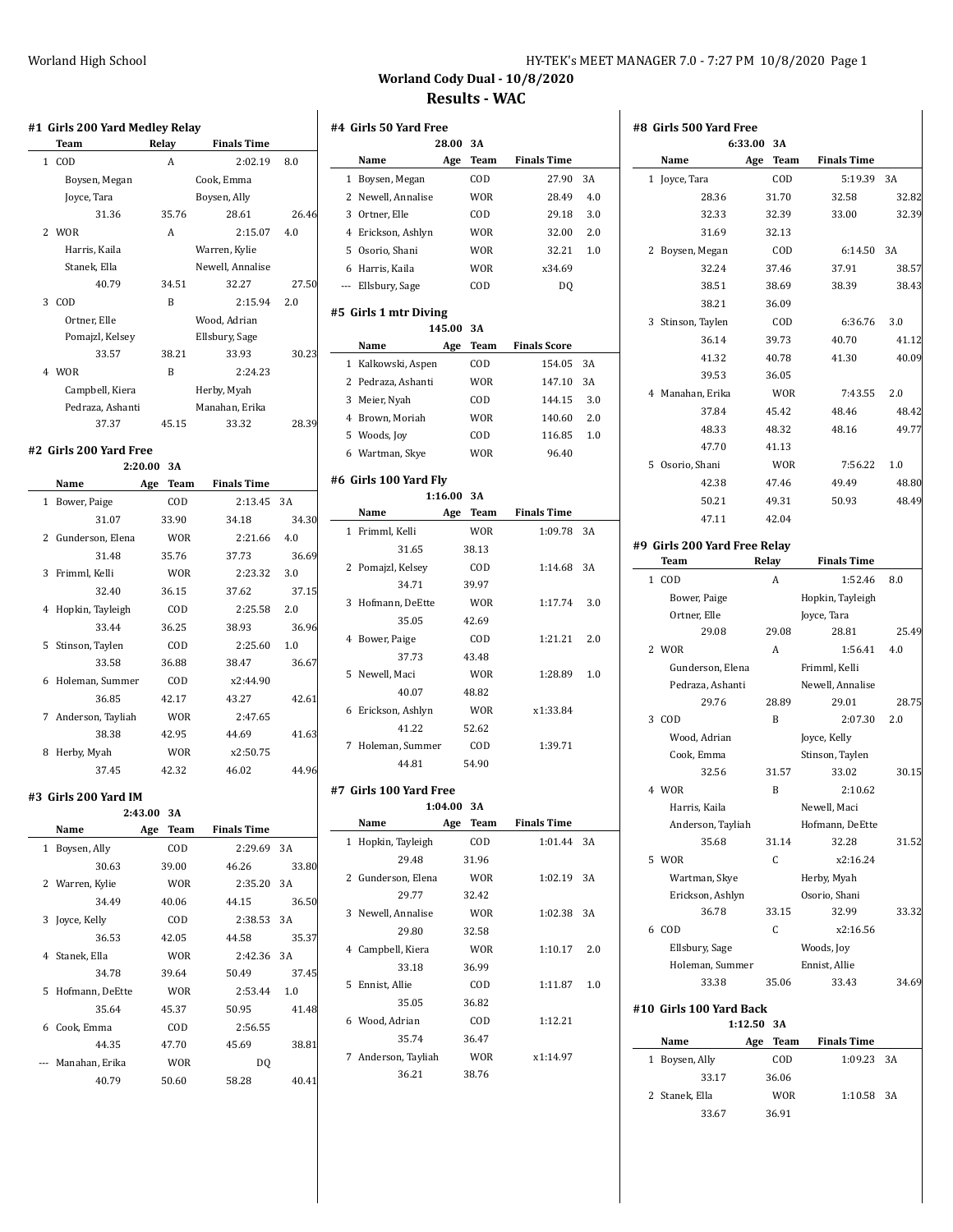| HY-TEK's MEET MANAGER 7.0 - 7:27 PM 10/8/2020 Page 1 |  |
|------------------------------------------------------|--|
|------------------------------------------------------|--|

# **Worland Cody Dual - 10/8/2020 Results - WAC**

|             | Team                    | Relay   |            | <b>Finals Time</b> |          |
|-------------|-------------------------|---------|------------|--------------------|----------|
| $\mathbf 1$ | COD                     | A       |            | 2:02.19            | $_{8.0}$ |
|             | Boysen, Megan           |         |            | Cook, Emma         |          |
|             | Joyce, Tara             |         |            | Boysen, Ally       |          |
|             | 31.36                   |         | 35.76      | 28.61              | 26.46    |
|             | 2 WOR                   | A       |            | 2:15.07            | 4.0      |
|             | Harris, Kaila           |         |            | Warren, Kylie      |          |
|             | Stanek, Ella            |         |            | Newell, Annalise   |          |
|             | 40.79                   |         | 34.51      | 32.27              | 27.50    |
|             | 3 COD                   | B       |            | 2:15.94            | 2.0      |
|             | Ortner, Elle            |         |            | Wood, Adrian       |          |
|             | Pomajzl, Kelsey         |         |            | Ellsbury, Sage     |          |
|             | 33.57                   |         | 38.21      | 33.93              | 30.23    |
|             | 4 WOR                   | B       |            | 2:24.23            |          |
|             | Campbell, Kiera         |         |            | Herby, Myah        |          |
|             | Pedraza, Ashanti        |         |            | Manahan, Erika     |          |
|             | 37.37                   |         | 45.15      | 33.32              | 28.39    |
|             | #2  Girls 200 Yard Free |         |            |                    |          |
|             |                         | 2:20.00 | 3A         |                    |          |
|             | Name                    | Age     | Team       | <b>Finals Time</b> |          |
| 1           | Bower, Paige            |         | COD        | 2:13.45            | 3A       |
|             | 31.07                   |         | 33.90      | 34.18              | 34.30    |
|             | 2 Gunderson, Elena      |         | <b>WOR</b> | 2:21.66            | 4.0      |
|             | 31.48                   |         | 35.76      | 37.73              | 36.69    |
| 3           | Frimml, Kelli           |         | <b>WOR</b> | 2:23.32            | 3.0      |
|             | 32.40                   |         | 36.15      | 37.62              | 37.15    |
|             | 4 Hopkin, Tayleigh      |         | COD        | 2:25.58            | 2.0      |
|             | 33.44                   |         | 36.25      | 38.93              | 36.96    |
| 5           | Stinson, Taylen         |         | COD        | 2:25.60            | 1.0      |
|             | 33.58                   |         | 36.88      | 38.47              | 36.67    |
| 6           | Holeman, Summer         |         | COD        | x2:44.90           |          |
|             | 36.85                   |         | 42.17      | 43.27              | 42.61    |
| 7           | Anderson, Tayliah       |         | <b>WOR</b> | 2:47.65            |          |
|             | 38.38                   |         | 42.95      | 44.69              | 41.63    |
| 8           | Herby, Myah             |         | <b>WOR</b> | x2:50.75           |          |
|             | 37.45                   |         | 42.32      | 46.02              | 44.96    |
|             |                         |         |            |                    |          |
|             | #3  Girls 200 Yard IM   |         |            |                    |          |
|             |                         | 2:43.00 | 3A         |                    |          |
|             | Name                    | Age     | Team       | <b>Finals Time</b> |          |
| 1           | Boysen, Ally            |         | COD        | 2:29.69            | 3A       |
|             | 30.63                   |         | 39.00      | 46.26              | 33.80    |
|             | 2 Warren, Kylie         |         | WOR        | 2:35.20            | 3A       |
|             | 34.49                   |         | 40.06      | 44.15              | 36.50    |
| 3           | Joyce, Kelly            |         | COD        | 2:38.53            | 3A       |
|             | 36.53                   |         | 42.05      | 44.58              | 35.37    |
| 4           | Stanek, Ella            |         | <b>WOR</b> | 2:42.36            | 3A       |
|             | 34.78                   |         | 39.64      | 50.49              | 37.45    |
| 5           | Hofmann, DeEtte         |         | <b>WOR</b> | 2:53.44            | 1.0      |
|             | 35.64                   |         | 45.37      | 50.95              | 41.48    |
|             | Cook, Emma              |         | COD        | 2:56.55            |          |
|             |                         |         |            |                    |          |
|             | 44.35                   |         | 47.70      | 45.69              | 38.81    |
| 6<br>---    | Manahan, Erika          |         | <b>WOR</b> | DQ                 |          |

| #4 Girls 50 Yard Free |                        |         |            |                     |     |  |
|-----------------------|------------------------|---------|------------|---------------------|-----|--|
|                       |                        | 28.00   | 3A         |                     |     |  |
|                       | Name                   | Age     | Team       | <b>Finals Time</b>  |     |  |
|                       | 1 Boysen, Megan        |         | COD        | 27.90               | 3A  |  |
|                       | 2 Newell, Annalise     |         | WOR        | 28.49               | 4.0 |  |
|                       | 3 Ortner, Elle         |         | COD        | 29.18               | 3.0 |  |
|                       | 4 Erickson, Ashlyn     |         | WOR        | 32.00               | 2.0 |  |
|                       | 5 Osorio, Shani        |         | <b>WOR</b> | 32.21               | 1.0 |  |
|                       | 6 Harris, Kaila        |         | WOR        | x34.69              |     |  |
|                       | --- Ellsbury, Sage     |         | COD        | DQ                  |     |  |
|                       | #5 Girls 1 mtr Diving  |         |            |                     |     |  |
|                       |                        | 145.00  | 3A         |                     |     |  |
|                       | Name                   | Age     | Team       | <b>Finals Score</b> |     |  |
|                       | 1 Kalkowski, Aspen     |         | COD        | 154.05              | 3A  |  |
|                       | 2 Pedraza, Ashanti     |         | WOR        | 147.10              | 3A  |  |
|                       |                        |         |            |                     | 3.0 |  |
|                       | 3 Meier, Nyah          |         | COD        | 144.15              |     |  |
|                       | 4 Brown, Moriah        |         | <b>WOR</b> | 140.60              | 2.0 |  |
|                       | 5 Woods, Joy           |         | COD        | 116.85              | 1.0 |  |
|                       | 6 Wartman, Skye        |         | <b>WOR</b> | 96.40               |     |  |
|                       | #6  Girls 100 Yard Fly |         |            |                     |     |  |
|                       |                        | 1:16.00 | 3A         |                     |     |  |
|                       | Name                   | Age     | Team       | <b>Finals Time</b>  |     |  |
| 1                     | Frimml, Kelli          |         | WOR        | 1:09.78             | 3A  |  |
|                       | 31.65                  |         | 38.13      |                     |     |  |
|                       | 2 Pomajzl, Kelsey      |         | COD        | 1:14.68             | 3A  |  |
|                       | 34.71                  |         | 39.97      |                     |     |  |
| 3                     | Hofmann, DeEtte        |         | <b>WOR</b> | 1:17.74             | 3.0 |  |
|                       | 35.05                  |         | 42.69      |                     |     |  |
| 4                     | Bower, Paige           |         | COD        | 1:21.21             | 2.0 |  |
|                       | 37.73                  |         | 43.48      |                     |     |  |
| 5                     | Newell, Maci           |         | WOR        | 1:28.89             | 1.0 |  |
|                       | 40.07                  |         | 48.82      |                     |     |  |
| 6                     | Erickson, Ashlyn       |         | <b>WOR</b> | x1:33.84            |     |  |
|                       | 41.22                  |         | 52.62      |                     |     |  |
| 7                     | Holeman, Summer        |         | COD        | 1:39.71             |     |  |
|                       | 44.81                  |         | 54.90      |                     |     |  |
|                       |                        |         |            |                     |     |  |
|                       | #7 Girls 100 Yard Free |         |            |                     |     |  |
|                       |                        | 1:04.00 | 3A         |                     |     |  |
|                       | Name                   | Age     | Team       | <b>Finals Time</b>  |     |  |
| $\mathbf{1}$          | Hopkin, Tayleigh       |         | COD        | 1:01.44             | 3A  |  |
|                       | 29.48                  |         | 31.96      |                     |     |  |
|                       | 2 Gunderson, Elena     |         | <b>WOR</b> | 1:02.19             | 3A  |  |
|                       | 29.77                  |         | 32.42      |                     |     |  |
|                       | 3 Newell, Annalise     |         | <b>WOR</b> | 1:02.38             | 3A  |  |
|                       | 29.80                  |         | 32.58      |                     |     |  |
|                       | 4 Campbell, Kiera      |         | WOR        | 1:10.17             | 2.0 |  |
|                       | 33.18                  |         | 36.99      |                     |     |  |
| 5                     | Ennist, Allie          |         | COD        | 1:11.87             | 1.0 |  |
|                       | 35.05                  |         | 36.82      |                     |     |  |
|                       | 6 Wood, Adrian         |         | COD        | 1:12.21             |     |  |
|                       | 35.74                  |         | 36.47      |                     |     |  |
|                       | 7 Anderson, Tayliah    |         | WOR        | x1:14.97            |     |  |
|                       |                        |         |            |                     |     |  |
|                       | 36.21                  |         | 38.76      |                     |     |  |

|                              | 6:33.00  | 3A         |                    |             |
|------------------------------|----------|------------|--------------------|-------------|
| Name                         | Age      | Team       | <b>Finals Time</b> |             |
| 1 Joyce, Tara                |          | COD        | 5:19.39            | 3A          |
| 28.36                        |          | 31.70      | 32.58              | 32.82       |
| 32.33                        |          | 32.39      | 33.00              | 32.39       |
| 31.69                        |          | 32.13      |                    |             |
| 2 Boysen, Megan              |          | COD        | 6:14.50            | 3A          |
| 32.24                        |          | 37.46      | 37.91              | 38.57       |
| 38.51                        |          | 38.69      | 38.39              | 38.43       |
| 38.21                        |          | 36.09      |                    |             |
| 3 Stinson, Taylen            |          | COD        | 6:36.76            | 3.0         |
| 36.14                        |          | 39.73      | 40.70              | 41.12       |
| 41.32                        |          | 40.78      | 41.30              | 40.09       |
| 39.53                        |          | 36.05      |                    |             |
| 4 Manahan, Erika             |          | WOR        | 7:43.55            | 2.0         |
| 37.84                        |          | 45.42      | 48.46              | 48.42       |
| 48.33                        |          | 48.32      | 48.16              | 49.77       |
| 47.70                        |          | 41.13      |                    |             |
| 5 Osorio, Shani              |          | <b>WOR</b> | 7:56.22            | 1.0         |
| 42.38                        |          | 47.46      | 49.49              | 48.80       |
| 50.21                        |          | 49.31      | 50.93              | 48.49       |
| 47.11                        |          | 42.04      |                    |             |
|                              |          |            |                    |             |
| #9 Girls 200 Yard Free Relay |          |            |                    |             |
| Team                         | Relay    |            | <b>Finals Time</b> |             |
| 1 COD                        |          | A          | 1:52.46            | 8.0         |
| Bower, Paige                 |          |            | Hopkin, Tayleigh   |             |
| Ortner, Elle                 |          |            | Joyce, Tara        |             |
| 29.08                        |          | 29.08      | 28.81              | 25.49       |
| 2 WOR                        |          | A          | 1:56.41            | 4.0         |
| Gunderson, Elena             |          |            | Frimml, Kelli      |             |
| Pedraza, Ashanti             |          |            | Newell, Annalise   |             |
| 29.76                        |          | 28.89      | 29.01              | 28.75       |
| 3 COD                        |          | B          | 2:07.30            | 2.0         |
| Wood, Adrian                 |          |            | Joyce, Kelly       |             |
| Cook, Emma                   |          |            | Stinson, Taylen    |             |
| 32.56                        |          | 31.57      | 33.02              | 30.15       |
| 4 WOR                        |          | B          | 2:10.62            |             |
| Harris, Kaila                |          |            | Newell, Maci       |             |
| Anderson, Tayliah            |          |            | Hofmann, DeEtte    |             |
| 35.68                        |          | 31.14      | 32.28              | 31.52       |
| 5 WOR                        |          | C          | x2:16.24           |             |
| Wartman, Skye                |          |            | Herby, Myah        |             |
| Erickson, Ashlyn             |          |            | Osorio, Shani      |             |
| 36.78                        |          | 33.15      | 32.99              | 33.32       |
| 6 COD                        |          | C          | x2:16.56           |             |
| Ellsbury, Sage               |          |            | Woods, Joy         |             |
|                              |          |            | Ennist, Allie      |             |
| Holeman, Summer              |          |            |                    |             |
| 33.38                        |          | 35.06      | 33.43              |             |
|                              |          |            |                    |             |
| #10 Girls 100 Yard Back      | 1:12.50  | 3A         |                    |             |
| Name                         | Age Team |            | <b>Finals Time</b> |             |
| 1 Boysen, Ally               |          | COD        | 1:09.23            | 3A          |
| 33.17                        |          | 36.06      |                    |             |
| 2 Stanek, Ella               |          | <b>WOR</b> | 1:10.58            | 34.69<br>3A |